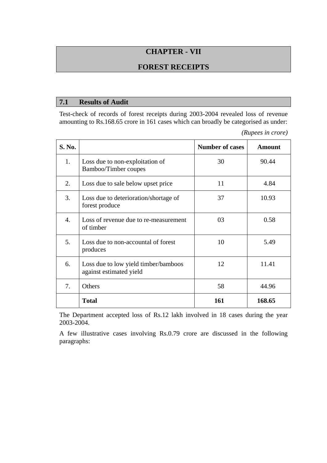# **CHAPTER - VII**

### **FOREST RECEIPTS**

#### **7.1 Results of Audit**

Test-check of records of forest receipts during 2003-2004 revealed loss of revenue amounting to Rs.168.65 crore in 161 cases which can broadly be categorised as under:

*(Rupees in crore)* 

| S. No. |                                                                 | <b>Number of cases</b> | <b>Amount</b> |
|--------|-----------------------------------------------------------------|------------------------|---------------|
| 1.     | Loss due to non-exploitation of<br>Bamboo/Timber coupes         | 30                     | 90.44         |
| 2.     | Loss due to sale below upset price                              | 11                     | 4.84          |
| 3.     | Loss due to deterioration/shortage of<br>forest produce         | 37                     | 10.93         |
| 4.     | Loss of revenue due to re-measurement<br>of timber              | 03                     | 0.58          |
| 5.     | Loss due to non-accountal of forest<br>produces                 | 10                     | 5.49          |
| 6.     | Loss due to low yield timber/bamboos<br>against estimated yield | 12                     | 11.41         |
| 7.     | Others                                                          | 58                     | 44.96         |
|        | <b>Total</b>                                                    | 161                    | 168.65        |

The Department accepted loss of Rs.12 lakh involved in 18 cases during the year 2003-2004.

A few illustrative cases involving Rs.0.79 crore are discussed in the following paragraphs: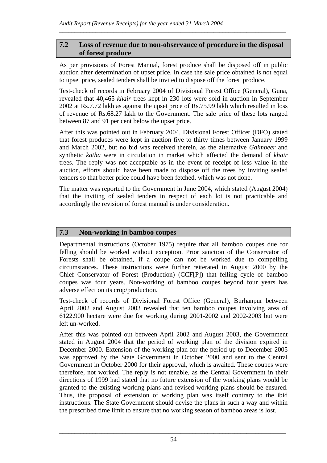# **7.2 Loss of revenue due to non-observance of procedure in the disposal of forest produce**

\_\_\_\_\_\_\_\_\_\_\_\_\_\_\_\_\_\_\_\_\_\_\_\_\_\_\_\_\_\_\_\_\_\_\_\_\_\_\_\_\_\_\_\_\_\_\_\_\_\_\_\_\_\_\_\_\_\_\_\_\_\_\_\_\_\_\_\_\_\_\_\_\_\_\_

As per provisions of Forest Manual, forest produce shall be disposed off in public auction after determination of upset price. In case the sale price obtained is not equal to upset price, sealed tenders shall be invited to dispose off the forest produce.

Test-check of records in February 2004 of Divisional Forest Office (General), Guna, revealed that 40,465 *khair* trees kept in 230 lots were sold in auction in September 2002 at Rs.7.72 lakh as against the upset price of Rs.75.99 lakh which resulted in loss of revenue of Rs.68.27 lakh to the Government. The sale price of these lots ranged between 87 and 91 per cent below the upset price.

After this was pointed out in February 2004, Divisional Forest Officer (DFO) stated that forest produces were kept in auction five to thirty times between January 1999 and March 2002, but no bid was received therein, as the alternative *Gaimbeer* and synthetic *katha* were in circulation in market which affected the demand of *khair* trees. The reply was not acceptable as in the event of receipt of less value in the auction, efforts should have been made to dispose off the trees by inviting sealed tenders so that better price could have been fetched, which was not done.

The matter was reported to the Government in June 2004, which stated (August 2004) that the inviting of sealed tenders in respect of each lot is not practicable and accordingly the revision of forest manual is under consideration.

# **7.3 Non-working in bamboo coupes**

Departmental instructions (October 1975) require that all bamboo coupes due for felling should be worked without exception. Prior sanction of the Conservator of Forests shall be obtained, if a coupe can not be worked due to compelling circumstances. These instructions were further reiterated in August 2000 by the Chief Conservator of Forest (Production) (CCF[P]) that felling cycle of bamboo coupes was four years. Non-working of bamboo coupes beyond four years has adverse effect on its crop/production.

Test-check of records of Divisional Forest Office (General), Burhanpur between April 2002 and August 2003 revealed that ten bamboo coupes involving area of 6122.900 hectare were due for working during 2001-2002 and 2002-2003 but were left un-worked.

After this was pointed out between April 2002 and August 2003, the Government stated in August 2004 that the period of working plan of the division expired in December 2000. Extension of the working plan for the period up to December 2005 was approved by the State Government in October 2000 and sent to the Central Government in October 2000 for their approval, which is awaited. These coupes were therefore, not worked. The reply is not tenable, as the Central Government in their directions of 1999 had stated that no future extension of the working plans would be granted to the existing working plans and revised working plans should be ensured. Thus, the proposal of extension of working plan was itself contrary to the ibid instructions. The State Government should devise the plans in such a way and within the prescribed time limit to ensure that no working season of bamboo areas is lost.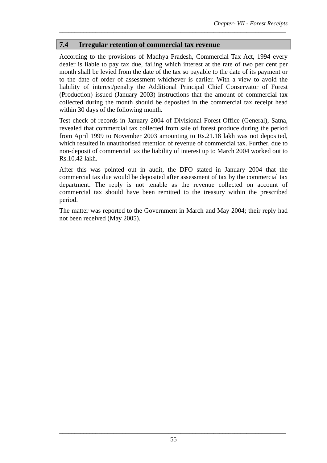# **7.4 Irregular retention of commercial tax revenue**

According to the provisions of Madhya Pradesh, Commercial Tax Act, 1994 every dealer is liable to pay tax due, failing which interest at the rate of two per cent per month shall be levied from the date of the tax so payable to the date of its payment or to the date of order of assessment whichever is earlier. With a view to avoid the liability of interest/penalty the Additional Principal Chief Conservator of Forest (Production) issued (January 2003) instructions that the amount of commercial tax collected during the month should be deposited in the commercial tax receipt head within 30 days of the following month.

\_\_\_\_\_\_\_\_\_\_\_\_\_\_\_\_\_\_\_\_\_\_\_\_\_\_\_\_\_\_\_\_\_\_\_\_\_\_\_\_\_\_\_\_\_\_\_\_\_\_\_\_\_\_\_\_\_\_\_\_\_\_\_\_\_\_\_\_\_\_\_\_\_\_\_

Test check of records in January 2004 of Divisional Forest Office (General), Satna, revealed that commercial tax collected from sale of forest produce during the period from April 1999 to November 2003 amounting to Rs.21.18 lakh was not deposited, which resulted in unauthorised retention of revenue of commercial tax. Further, due to non-deposit of commercial tax the liability of interest up to March 2004 worked out to Rs.10.42 lakh.

After this was pointed out in audit, the DFO stated in January 2004 that the commercial tax due would be deposited after assessment of tax by the commercial tax department. The reply is not tenable as the revenue collected on account of commercial tax should have been remitted to the treasury within the prescribed period.

The matter was reported to the Government in March and May 2004; their reply had not been received (May 2005).